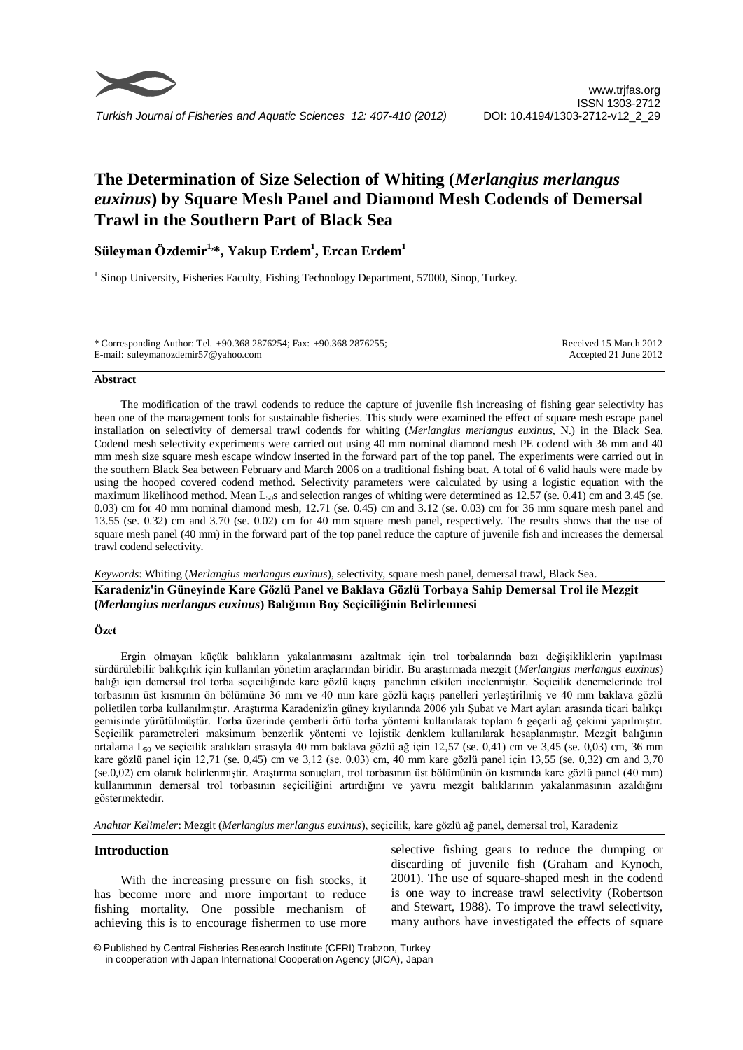

# **The Determination of Size Selection of Whiting (***Merlangius merlangus euxinus***) by Square Mesh Panel and Diamond Mesh Codends of Demersal Trawl in the Southern Part of Black Sea**

# **Süleyman Özdemir1, \*, Yakup Erdem<sup>1</sup> , Ercan Erdem<sup>1</sup>**

<sup>1</sup> Sinop University, Fisheries Faculty, Fishing Technology Department, 57000, Sinop, Turkey.

| * Corresponding Author: Tel. +90.368 2876254; Fax: +90.368 2876255; | Received 15 March 2012 |
|---------------------------------------------------------------------|------------------------|
| E-mail: suleymanozdemir57@yahoo.com                                 | Accepted 21 June 2012  |

#### **Abstract**

The modification of the trawl codends to reduce the capture of juvenile fish increasing of fishing gear selectivity has been one of the management tools for sustainable fisheries. This study were examined the effect of square mesh escape panel installation on selectivity of demersal trawl codends for whiting (*Merlangius merlangus euxinus*, N.) in the Black Sea. Codend mesh selectivity experiments were carried out using 40 mm nominal diamond mesh PE codend with 36 mm and 40 mm mesh size square mesh escape window inserted in the forward part of the top panel. The experiments were carried out in the southern Black Sea between February and March 2006 on a traditional fishing boat. A total of 6 valid hauls were made by using the hooped covered codend method. Selectivity parameters were calculated by using a logistic equation with the maximum likelihood method. Mean  $L_{50}$ s and selection ranges of whiting were determined as 12.57 (se. 0.41) cm and 3.45 (se. 0.03) cm for 40 mm nominal diamond mesh, 12.71 (se. 0.45) cm and 3.12 (se. 0.03) cm for 36 mm square mesh panel and 13.55 (se. 0.32) cm and 3.70 (se. 0.02) cm for 40 mm square mesh panel, respectively. The results shows that the use of square mesh panel (40 mm) in the forward part of the top panel reduce the capture of juvenile fish and increases the demersal trawl codend selectivity.

*Keywords*: Whiting (*Merlangius merlangus euxinus*), selectivity, square mesh panel, demersal trawl, Black Sea.

**Karadeniz'in Güneyinde Kare Gözlü Panel ve Baklava Gözlü Torbaya Sahip Demersal Trol ile Mezgit (***Merlangius merlangus euxinus***) Balığının Boy Seçiciliğinin Belirlenmesi**

#### **Özet**

Ergin olmayan küçük balıkların yakalanmasını azaltmak için trol torbalarında bazı değişikliklerin yapılması sürdürülebilir balıkçılık için kullanılan yönetim araçlarından biridir. Bu araştırmada mezgit (*Merlangius merlangus euxinus*) balığı için demersal trol torba seçiciliğinde kare gözlü kaçış panelinin etkileri incelenmiştir. Seçicilik denemelerinde trol torbasının üst kısmının ön bölümüne 36 mm ve 40 mm kare gözlü kaçış panelleri yerleştirilmiş ve 40 mm baklava gözlü polietilen torba kullanılmıştır. Araştırma Karadeniz'in güney kıyılarında 2006 yılı Şubat ve Mart ayları arasında ticari balıkçı gemisinde yürütülmüştür. Torba üzerinde çemberli örtü torba yöntemi kullanılarak toplam 6 geçerli ağ çekimi yapılmıştır. Seçicilik parametreleri maksimum benzerlik yöntemi ve lojistik denklem kullanılarak hesaplanmıştır. Mezgit balığının ortalama L<sub>50</sub> ve seçicilik aralıkları sırasıyla 40 mm baklava gözlü ağ için 12,57 (se. 0,41) cm ve 3,45 (se. 0,03) cm, 36 mm kare gözlü panel için 12,71 (se. 0,45) cm ve 3,12 (se. 0.03) cm, 40 mm kare gözlü panel için 13,55 (se. 0,32) cm and 3,70 (se.0,02) cm olarak belirlenmiştir. Araştırma sonuçları, trol torbasının üst bölümünün ön kısmında kare gözlü panel (40 mm) kullanımının demersal trol torbasının seçiciliğini artırdığını ve yavru mezgit balıklarının yakalanmasının azaldığını göstermektedir.

*Anahtar Kelimeler*: Mezgit (*Merlangius merlangus euxinus*), seçicilik, kare gözlü ağ panel, demersal trol, Karadeniz

# **Introduction**

With the increasing pressure on fish stocks, it has become more and more important to reduce fishing mortality. One possible mechanism of achieving this is to encourage fishermen to use more selective fishing gears to reduce the dumping or discarding of juvenile fish (Graham and Kynoch, 2001). The use of square-shaped mesh in the codend is one way to increase trawl selectivity (Robertson and Stewart, 1988). To improve the trawl selectivity, many authors have investigated the effects of square

<sup>©</sup> Published by Central Fisheries Research Institute (CFRI) Trabzon, Turkey in cooperation with Japan International Cooperation Agency (JICA), Japan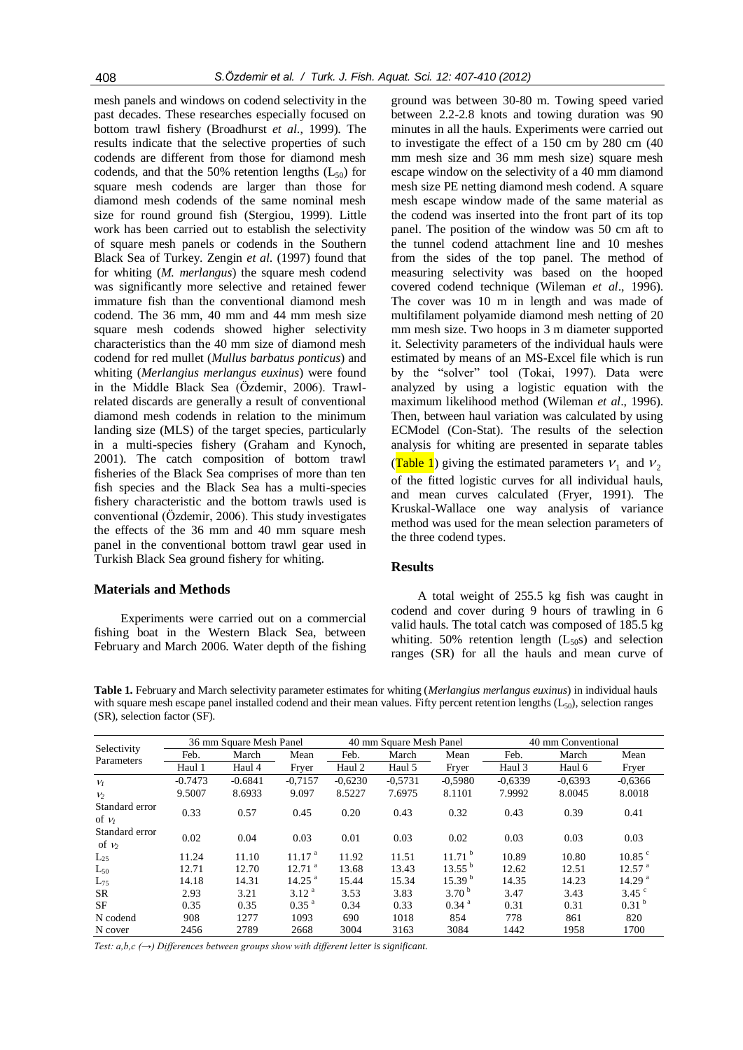mesh panels and windows on codend selectivity in the past decades. These researches especially focused on bottom trawl fishery (Broadhurst *et al*., 1999). The results indicate that the selective properties of such codends are different from those for diamond mesh codends, and that the 50% retention lengths  $(L_{50})$  for square mesh codends are larger than those for diamond mesh codends of the same nominal mesh size for round ground fish (Stergiou, 1999). Little work has been carried out to establish the selectivity of square mesh panels or codends in the Southern Black Sea of Turkey. Zengin *et al*. (1997) found that for whiting (*M. merlangus*) the square mesh codend was significantly more selective and retained fewer immature fish than the conventional diamond mesh codend. The 36 mm, 40 mm and 44 mm mesh size square mesh codends showed higher selectivity characteristics than the 40 mm size of diamond mesh codend for red mullet (*Mullus barbatus ponticus*) and whiting (*Merlangius merlangus euxinus*) were found in the Middle Black Sea (Özdemir, 2006). Trawlrelated discards are generally a result of conventional diamond mesh codends in relation to the minimum landing size (MLS) of the target species, particularly in a multi-species fishery (Graham and Kynoch, 2001). The catch composition of bottom trawl fisheries of the Black Sea comprises of more than ten fish species and the Black Sea has a multi-species fishery characteristic and the bottom trawls used is conventional (Özdemir, 2006). This study investigates the effects of the 36 mm and 40 mm square mesh panel in the conventional bottom trawl gear used in Turkish Black Sea ground fishery for whiting.

#### **Materials and Methods**

Experiments were carried out on a commercial fishing boat in the Western Black Sea, between February and March 2006. Water depth of the fishing

ground was between 30-80 m. Towing speed varied between 2.2-2.8 knots and towing duration was 90 minutes in all the hauls. Experiments were carried out to investigate the effect of a 150 cm by 280 cm (40 mm mesh size and 36 mm mesh size) square mesh escape window on the selectivity of a 40 mm diamond mesh size PE netting diamond mesh codend. A square mesh escape window made of the same material as the codend was inserted into the front part of its top panel. The position of the window was 50 cm aft to the tunnel codend attachment line and 10 meshes from the sides of the top panel. The method of measuring selectivity was based on the hooped covered codend technique (Wileman *et al*., 1996). The cover was 10 m in length and was made of multifilament polyamide diamond mesh netting of 20 mm mesh size. Two hoops in 3 m diameter supported it. Selectivity parameters of the individual hauls were estimated by means of an MS-Excel file which is run by the "solver" tool (Tokai, 1997). Data were analyzed by using a logistic equation with the maximum likelihood method (Wileman *et al*., 1996). Then, between haul variation was calculated by using ECModel (Con-Stat). The results of the selection analysis for whiting are presented in separate tables (Table 1) giving the estimated parameters  $V_1$  and  $V_2$ of the fitted logistic curves for all individual hauls, and mean curves calculated (Fryer, 1991). The Kruskal-Wallace one way analysis of variance method was used for the mean selection parameters of the three codend types.

## **Results**

A total weight of 255.5 kg fish was caught in codend and cover during 9 hours of trawling in 6 valid hauls. The total catch was composed of 185.5 kg whiting. 50% retention length  $(L_{50} s)$  and selection ranges (SR) for all the hauls and mean curve of

**Table 1.** February and March selectivity parameter estimates for whiting (*Merlangius merlangus euxinus*) in individual hauls with square mesh escape panel installed codend and their mean values. Fifty percent retention lengths  $(L_{50})$ , selection ranges (SR), selection factor (SF).

| Selectivity<br>Parameters  | 36 mm Square Mesh Panel |           |                      | 40 mm Square Mesh Panel |           |                     | 40 mm Conventional |           |                      |
|----------------------------|-------------------------|-----------|----------------------|-------------------------|-----------|---------------------|--------------------|-----------|----------------------|
|                            | Feb.                    | March     | Mean                 | Feb.                    | March     | Mean                | Feb.               | March     | Mean                 |
|                            | Haul 1                  | Haul 4    | Fryer                | Haul 2                  | Haul 5    | Fryer               | Haul 3             | Haul 6    | Fryer                |
| $V_I$                      | $-0.7473$               | $-0.6841$ | $-0,7157$            | $-0,6230$               | $-0,5731$ | $-0,5980$           | $-0.6339$          | $-0.6393$ | $-0,6366$            |
| V <sub>2</sub>             | 9.5007                  | 8.6933    | 9.097                | 8.5227                  | 7.6975    | 8.1101              | 7.9992             | 8.0045    | 8.0018               |
| Standard error<br>of $v_1$ | 0.33                    | 0.57      | 0.45                 | 0.20                    | 0.43      | 0.32                | 0.43               | 0.39      | 0.41                 |
| Standard error<br>of $\nu$ | 0.02                    | 0.04      | 0.03                 | 0.01                    | 0.03      | 0.02                | 0.03               | 0.03      | 0.03                 |
| $L_{25}$                   | 11.24                   | 11.10     | 11.17 <sup>a</sup>   | 11.92                   | 11.51     | 11.71 <sup>b</sup>  | 10.89              | 10.80     | $10.85$ °            |
| $L_{50}$                   | 12.71                   | 12.70     | $12.71$ <sup>a</sup> | 13.68                   | 13.43     | $13.55^{b}$         | 12.62              | 12.51     | $12.57$ <sup>a</sup> |
| $L_{75}$                   | 14.18                   | 14.31     | $14.25$ <sup>a</sup> | 15.44                   | 15.34     | 15.39 <sup>b</sup>  | 14.35              | 14.23     | 14.29 <sup>a</sup>   |
| SR                         | 2.93                    | 3.21      | $3.12^{a}$           | 3.53                    | 3.83      | 3.70 <sup>b</sup>   | 3.47               | 3.43      | $3.45$ $\degree$     |
| SF                         | 0.35                    | 0.35      | $0.35$ <sup>a</sup>  | 0.34                    | 0.33      | $0.34$ <sup>a</sup> | 0.31               | 0.31      | 0.31 <sup>b</sup>    |
| N codend                   | 908                     | 1277      | 1093                 | 690                     | 1018      | 854                 | 778                | 861       | 820                  |
| N cover                    | 2456                    | 2789      | 2668                 | 3004                    | 3163      | 3084                | 1442               | 1958      | 1700                 |

*Test: a,b,c (→) Differences between groups show with different letter is significant.*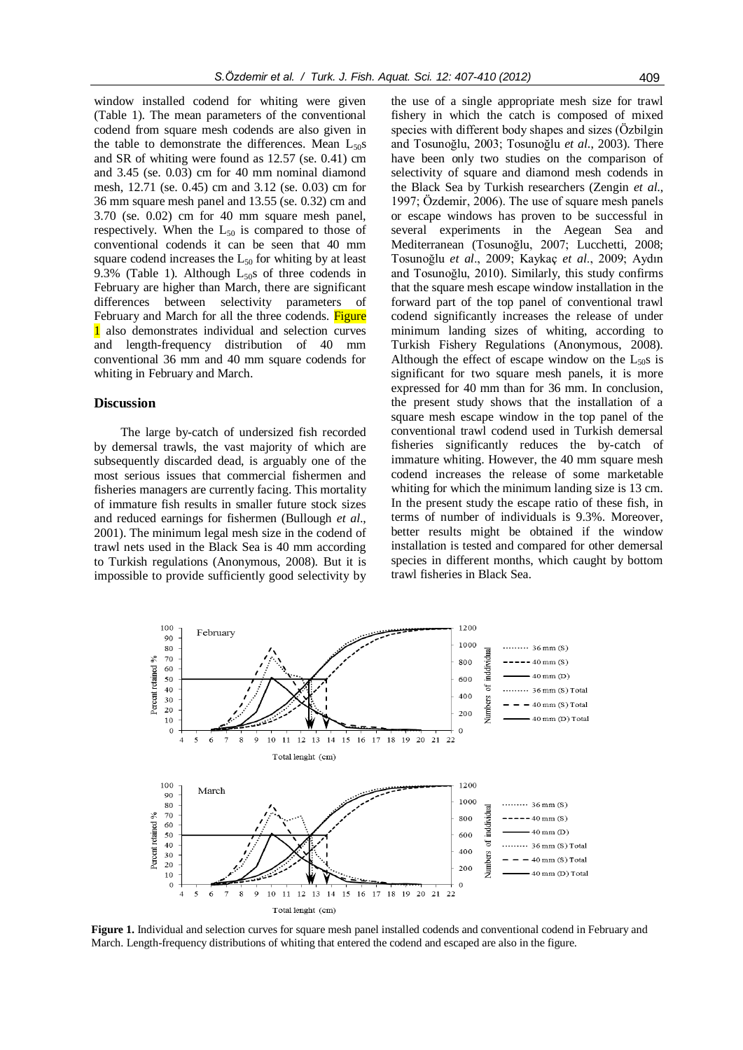window installed codend for whiting were given (Table 1). The mean parameters of the conventional codend from square mesh codends are also given in the table to demonstrate the differences. Mean  $L_{50}$ s and SR of whiting were found as 12.57 (se. 0.41) cm and 3.45 (se. 0.03) cm for 40 mm nominal diamond mesh, 12.71 (se. 0.45) cm and 3.12 (se. 0.03) cm for 36 mm square mesh panel and 13.55 (se. 0.32) cm and 3.70 (se. 0.02) cm for 40 mm square mesh panel, respectively. When the  $L_{50}$  is compared to those of conventional codends it can be seen that 40 mm square codend increases the  $L_{50}$  for whiting by at least 9.3% (Table 1). Although  $L_{50}$ s of three codends in February are higher than March, there are significant differences between selectivity parameters of February and March for all the three codends. Figure 1 also demonstrates individual and selection curves and length-frequency distribution of 40 mm conventional 36 mm and 40 mm square codends for whiting in February and March.

# **Discussion**

The large by-catch of undersized fish recorded by demersal trawls, the vast majority of which are subsequently discarded dead, is arguably one of the most serious issues that commercial fishermen and fisheries managers are currently facing. This mortality of immature fish results in smaller future stock sizes and reduced earnings for fishermen (Bullough *et al*., 2001). The minimum legal mesh size in the codend of trawl nets used in the Black Sea is 40 mm according to Turkish regulations (Anonymous, 2008). But it is impossible to provide sufficiently good selectivity by

the use of a single appropriate mesh size for trawl fishery in which the catch is composed of mixed species with different body shapes and sizes (Özbilgin and Tosunoğlu, 2003; Tosunoğlu *et al*., 2003). There have been only two studies on the comparison of selectivity of square and diamond mesh codends in the Black Sea by Turkish researchers (Zengin *et al*., 1997; Özdemir, 2006). The use of square mesh panels or escape windows has proven to be successful in several experiments in the Aegean Sea and Mediterranean (Tosunoğlu, 2007; Lucchetti, 2008; Tosunoğlu *et al*., 2009; Kaykaç *et al*., 2009; Aydın and Tosunoğlu, 2010). Similarly, this study confirms that the square mesh escape window installation in the forward part of the top panel of conventional trawl codend significantly increases the release of under minimum landing sizes of whiting, according to Turkish Fishery Regulations (Anonymous, 2008). Although the effect of escape window on the  $L_{50}$ s is significant for two square mesh panels, it is more expressed for 40 mm than for 36 mm. In conclusion, the present study shows that the installation of a square mesh escape window in the top panel of the conventional trawl codend used in Turkish demersal fisheries significantly reduces the by-catch of immature whiting. However, the 40 mm square mesh codend increases the release of some marketable whiting for which the minimum landing size is 13 cm. In the present study the escape ratio of these fish, in terms of number of individuals is 9.3%. Moreover, better results might be obtained if the window installation is tested and compared for other demersal species in different months, which caught by bottom trawl fisheries in Black Sea.



**Figure 1.** Individual and selection curves for square mesh panel installed codends and conventional codend in February and March. Length-frequency distributions of whiting that entered the codend and escaped are also in the figure.